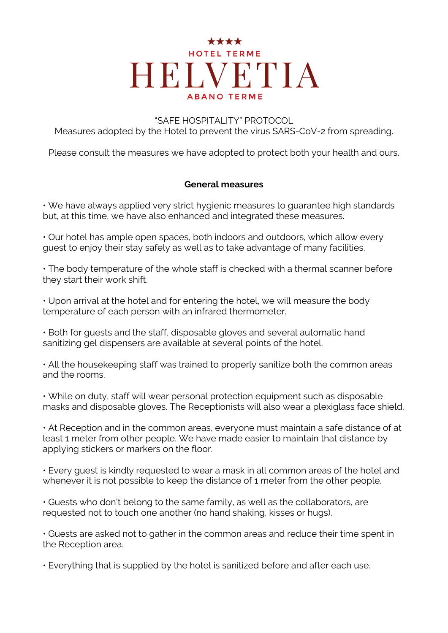#### "SAFE HOSPITALITY" PROTOCOL

Measures adopted by the Hotel to prevent the virus SARS-CoV-2 from spreading.

Please consult the measures we have adopted to protect both your health and ours.

#### **General measures**

• We have always applied very strict hygienic measures to guarantee high standards but, at this time, we have also enhanced and integrated these measures.

• Our hotel has ample open spaces, both indoors and outdoors, which allow every guest to enjoy their stay safely as well as to take advantage of many facilities.

• The body temperature of the whole staff is checked with a thermal scanner before they start their work shift.

• Upon arrival at the hotel and for entering the hotel, we will measure the body temperature of each person with an infrared thermometer.

• Both for guests and the staff, disposable gloves and several automatic hand sanitizing gel dispensers are available at several points of the hotel.

• All the housekeeping staff was trained to properly sanitize both the common areas and the rooms.

• While on duty, staff will wear personal protection equipment such as disposable masks and disposable gloves. The Receptionists will also wear a plexiglass face shield.

• At Reception and in the common areas, everyone must maintain a safe distance of at least 1 meter from other people. We have made easier to maintain that distance by applying stickers or markers on the floor.

• Every guest is kindly requested to wear a mask in all common areas of the hotel and whenever it is not possible to keep the distance of 1 meter from the other people.

• Guests who don't belong to the same family, as well as the collaborators, are requested not to touch one another (no hand shaking, kisses or hugs).

• Guests are asked not to gather in the common areas and reduce their time spent in the Reception area.

• Everything that is supplied by the hotel is sanitized before and after each use.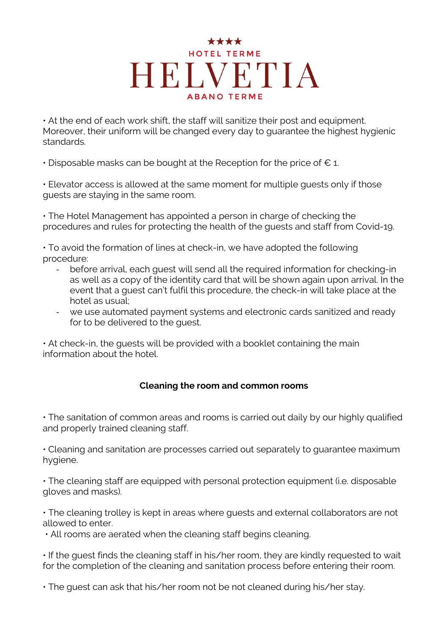• At the end of each work shift, the staff will sanitize their post and equipment. Moreover, their uniform will be changed every day to guarantee the highest hygienic standards.

• Disposable masks can be bought at the Reception for the price of  $\epsilon$  1.

• Elevator access is allowed at the same moment for multiple guests only if those guests are staying in the same room.

• The Hotel Management has appointed a person in charge of checking the procedures and rules for protecting the health of the guests and staff from Covid-19.

• To avoid the formation of lines at check-in, we have adopted the following procedure:

- before arrival, each quest will send all the required information for checking-in as well as a copy of the identity card that will be shown again upon arrival. In the event that a guest can't fulfil this procedure, the check-in will take place at the hotel as usual;
- we use automated payment systems and electronic cards sanitized and ready for to be delivered to the guest.

• At check-in, the guests will be provided with a booklet containing the main information about the hotel.

### **Cleaning the room and common rooms**

• The sanitation of common areas and rooms is carried out daily by our highly qualified and properly trained cleaning staff.

• Cleaning and sanitation are processes carried out separately to guarantee maximum hygiene.

• The cleaning staff are equipped with personal protection equipment (i.e. disposable gloves and masks).

• The cleaning trolley is kept in areas where guests and external collaborators are not allowed to enter.

• All rooms are aerated when the cleaning staff begins cleaning.

• If the guest finds the cleaning staff in his/her room, they are kindly requested to wait for the completion of the cleaning and sanitation process before entering their room.

• The guest can ask that his/her room not be not cleaned during his/her stay.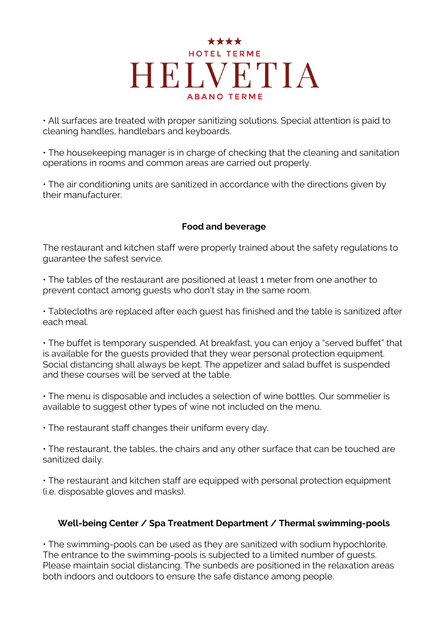• All surfaces are treated with proper sanitizing solutions. Special attention is paid to cleaning handles, handlebars and keyboards.

• The housekeeping manager is in charge of checking that the cleaning and sanitation operations in rooms and common areas are carried out properly.

• The air conditioning units are sanitized in accordance with the directions given by their manufacturer.

#### **Food and beverage**

The restaurant and kitchen staff were properly trained about the safety regulations to guarantee the safest service.

• The tables of the restaurant are positioned at least 1 meter from one another to prevent contact among guests who don't stay in the same room.

• Tablecloths are replaced after each guest has finished and the table is sanitized after each meal.

• The buffet is temporary suspended. At breakfast, you can enjoy a "served buffet" that is available for the guests provided that they wear personal protection equipment. Social distancing shall always be kept. The appetizer and salad buffet is suspended and these courses will be served at the table.

• The menu is disposable and includes a selection of wine bottles. Our sommelier is available to suggest other types of wine not included on the menu.

• The restaurant staff changes their uniform every day.

• The restaurant, the tables, the chairs and any other surface that can be touched are sanitized daily.

• The restaurant and kitchen staff are equipped with personal protection equipment (i.e. disposable gloves and masks).

### **Well-being Center / Spa Treatment Department / Thermal swimming-pools**

• The swimming-pools can be used as they are sanitized with sodium hypochlorite. The entrance to the swimming-pools is subjected to a limited number of guests. Please maintain social distancing. The sunbeds are positioned in the relaxation areas both indoors and outdoors to ensure the safe distance among people.